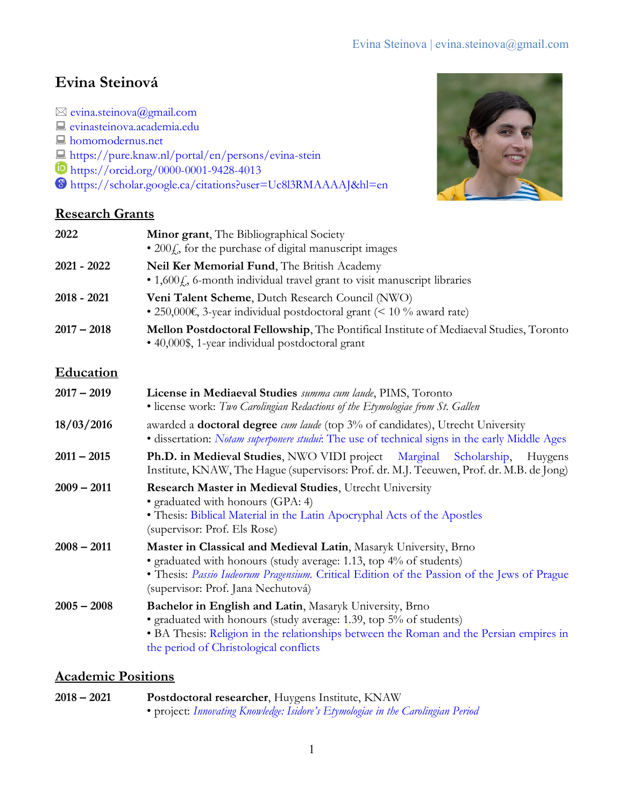# **Evina Steinová**

 $\boxtimes$  [evina.steinova@gmail.com](mailto:evina.steinova@gmail.com) [evinasteinova.academia.edu](http://evinasteinova.academia.edu/) **A** [homomodernus.net](https://homomodernus.net/) <https://pure.knaw.nl/portal/en/persons/evina-stein> https://orcid.org/0000-0001-9428-4013 <https://scholar.google.ca/citations?user=Uc8l3RMAAAAJ&hl=en>





| 2022             | Minor grant, The Bibliographical Society<br>$\bullet$ 200 $fs$ , for the purchase of digital manuscript images                                                                                                                                                              |
|------------------|-----------------------------------------------------------------------------------------------------------------------------------------------------------------------------------------------------------------------------------------------------------------------------|
| 2021 - 2022      | Neil Ker Memorial Fund, The British Academy<br>• 1,600£, 6-month individual travel grant to visit manuscript libraries                                                                                                                                                      |
| $2018 - 2021$    | Veni Talent Scheme, Dutch Research Council (NWO)<br>• 250,000€, 3-year individual postdoctoral grant (< 10 % award rate)                                                                                                                                                    |
| $2017 - 2018$    | Mellon Postdoctoral Fellowship, The Pontifical Institute of Mediaeval Studies, Toronto<br>• 40,000\$, 1-year individual postdoctoral grant                                                                                                                                  |
| <b>Education</b> |                                                                                                                                                                                                                                                                             |
| $2017 - 2019$    | License in Mediaeval Studies summa cum laude, PIMS, Toronto<br>• license work: Two Carolingian Redactions of the Etymologiae from St. Gallen                                                                                                                                |
| 18/03/2016       | awarded a <b>doctoral degree</b> cum laude (top 3% of candidates), Utrecht University<br>• dissertation: <i>Notam superponere studui</i> : The use of technical signs in the early Middle Ages                                                                              |
| $2011 - 2015$    | Ph.D. in Medieval Studies, NWO VIDI project Marginal<br>Scholarship,<br>Huygens<br>Institute, KNAW, The Hague (supervisors: Prof. dr. M.J. Teeuwen, Prof. dr. M.B. de Jong)                                                                                                 |
| $2009 - 2011$    | Research Master in Medieval Studies, Utrecht University<br>• graduated with honours (GPA: 4)<br>• Thesis: Biblical Material in the Latin Apocryphal Acts of the Apostles<br>(supervisor: Prof. Els Rose)                                                                    |
| $2008 - 2011$    | Master in Classical and Medieval Latin, Masaryk University, Brno<br>• graduated with honours (study average: 1.13, top 4% of students)<br>• Thesis: Passio Iudeorum Pragensium. Critical Edition of the Passion of the Jews of Prague<br>(supervisor: Prof. Jana Nechutová) |
| $2005 - 2008$    | Bachelor in English and Latin, Masaryk University, Brno<br>• graduated with honours (study average: 1.39, top 5% of students)<br>• BA Thesis: Religion in the relationships between the Roman and the Persian empires in<br>the period of Christological conflicts          |

## **Academic Positions**

| $2018 - 2021$ | <b>Postdoctoral researcher, Huygens Institute, KNAW</b>                          |  |
|---------------|----------------------------------------------------------------------------------|--|
|               | • project: Innovating Knowledge: Isidore's Etymologiae in the Carolingian Period |  |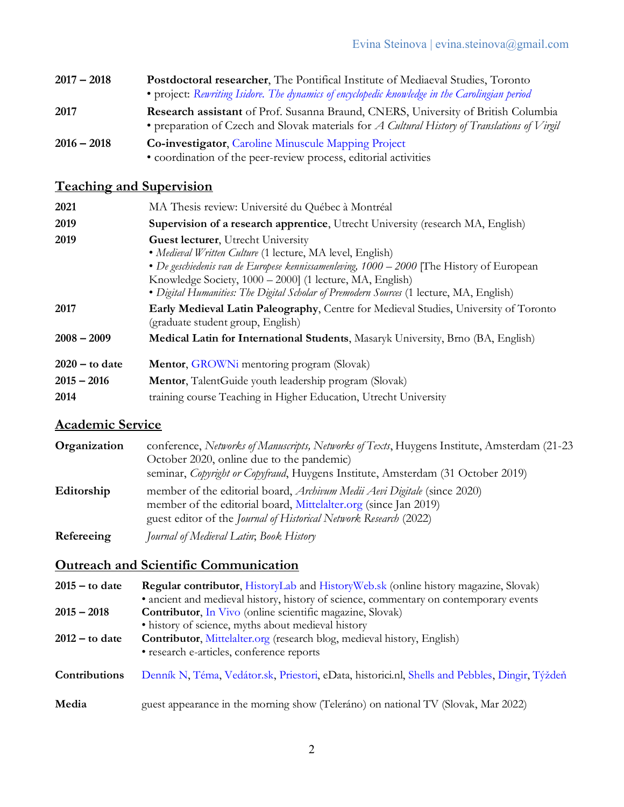- **2017 – 2018 Postdoctoral researcher**, The Pontifical Institute of Mediaeval Studies, Toronto • project: *[Rewriting Isidore. The dynamics of encyclopedic knowledge in the Carolingian period](https://pims.ca/people/evina-steinova/)* **2017 Research assistant** of Prof. Susanna Braund, CNERS, University of British Columbia
	- preparation of Czech and Slovak materials for *A Cultural History of Translations of Virgil*
- **2016 – 2018 Co-investigator**, [Caroline Minuscule Mapping Project](http://carolinenetwork.weebly.com/mapping-project.html) • coordination of the peer-review process, editorial activities

# **Teaching and Supervision**

| 2021             | MA Thesis review: Université du Québec à Montréal                                                                                                                                                                                                                                                                                                           |  |
|------------------|-------------------------------------------------------------------------------------------------------------------------------------------------------------------------------------------------------------------------------------------------------------------------------------------------------------------------------------------------------------|--|
| 2019             | Supervision of a research apprentice, Utrecht University (research MA, English)                                                                                                                                                                                                                                                                             |  |
| 2019             | <b>Guest lecturer</b> , Utrecht University<br>• Medieval Written Culture (1 lecture, MA level, English)<br>• De geschiedenis van de Europese kennissamenleving, 1000 – 2000 [The History of European<br>Knowledge Society, 1000 – 2000] (1 lecture, MA, English)<br>• Digital Humanities: The Digital Scholar of Premodern Sources (1 lecture, MA, English) |  |
| 2017             | Early Medieval Latin Paleography, Centre for Medieval Studies, University of Toronto<br>(graduate student group, English)                                                                                                                                                                                                                                   |  |
| $2008 - 2009$    | Medical Latin for International Students, Masaryk University, Brno (BA, English)                                                                                                                                                                                                                                                                            |  |
| $2020 -$ to date | Mentor, GROWNi mentoring program (Slovak)                                                                                                                                                                                                                                                                                                                   |  |
| $2015 - 2016$    | <b>Mentor</b> , TalentGuide youth leadership program (Slovak)                                                                                                                                                                                                                                                                                               |  |
| 2014             | training course Teaching in Higher Education, Utrecht University                                                                                                                                                                                                                                                                                            |  |

## **Academic Service**

| Organization | conference, Networks of Manuscripts, Networks of Texts, Huygens Institute, Amsterdam (21-23                                                        |
|--------------|----------------------------------------------------------------------------------------------------------------------------------------------------|
|              | October 2020, online due to the pandemic)<br>seminar, Copyright or Copyfraud, Huygens Institute, Amsterdam (31 October 2019)                       |
| Editorship   | member of the editorial board, <i>Archivum Medii Aevi Digitale</i> (since 2020)<br>member of the editorial board, Mittelalter.org (since Jan 2019) |
|              | guest editor of the <i>Journal of Historical Network Research</i> (2022)                                                                           |
| Refereeing   | Journal of Medieval Latin; Book History                                                                                                            |

## **Outreach and Scientific Communication**

| $2015 -$ to date | Regular contributor, HistoryLab and HistoryWeb.sk (online history magazine, Slovak)            |
|------------------|------------------------------------------------------------------------------------------------|
|                  | • ancient and medieval history, history of science, commentary on contemporary events          |
| $2015 - 2018$    | <b>Contributor</b> , In Vivo (online scientific magazine, Slovak)                              |
|                  | • history of science, myths about medieval history                                             |
| $2012 -$ to date | <b>Contributor, Mittelalter.org (research blog, medieval history, English)</b>                 |
|                  | · research e-articles, conference reports                                                      |
| Contributions    | Denník N, Téma, Vedátor.sk, Priestori, eData, historici.nl, Shells and Pebbles, Dingir, Týždeň |
| Media            | guest appearance in the morning show (Teleráno) on national TV (Slovak, Mar 2022)              |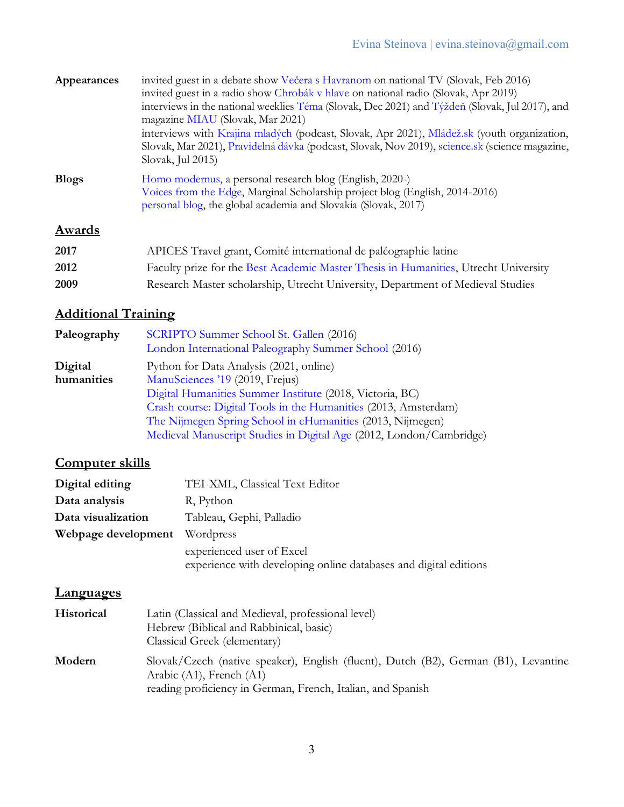| Appearances  | invited guest in a debate show Večera s Havranom on national TV (Slovak, Feb 2016)<br>invited guest in a radio show Chrobák v hlave on national radio (Slovak, Apr 2019)<br>interviews in the national weeklies Téma (Slovak, Dec 2021) and Týždeň (Slovak, Jul 2017), and<br>magazine MIAU (Slovak, Mar 2021)<br>interviews with Krajina mladých (podcast, Slovak, Apr 2021), Mládež.sk (youth organization,<br>Slovak, Mar 2021), Pravidelná dávka (podcast, Slovak, Nov 2019), science sk (science magazine,<br>Slovak, Jul 2015) |
|--------------|--------------------------------------------------------------------------------------------------------------------------------------------------------------------------------------------------------------------------------------------------------------------------------------------------------------------------------------------------------------------------------------------------------------------------------------------------------------------------------------------------------------------------------------|
| <b>Blogs</b> | Homo modernus, a personal research blog (English, 2020-)<br>Voices from the Edge, Marginal Scholarship project blog (English, 2014-2016)<br>personal blog, the global academia and Slovakia (Slovak, 2017)                                                                                                                                                                                                                                                                                                                           |
| Awards       |                                                                                                                                                                                                                                                                                                                                                                                                                                                                                                                                      |
| 2017         | APICES Travel grant, Comité international de paléographie latine                                                                                                                                                                                                                                                                                                                                                                                                                                                                     |

| 2012 | Faculty prize for the Best Academic Master Thesis in Humanities, Utrecht University |  |
|------|-------------------------------------------------------------------------------------|--|
| 2009 | Research Master scholarship, Utrecht University, Department of Medieval Studies     |  |

# **Additional Training**

| Paleography | SCRIPTO Summer School St. Gallen (2016)<br>London International Paleography Summer School (2016) |
|-------------|--------------------------------------------------------------------------------------------------|
| Digital     | Python for Data Analysis (2021, online)                                                          |
| humanities  | ManuSciences '19 (2019, Frejus)                                                                  |
|             | Digital Humanities Summer Institute (2018, Victoria, BC)                                         |
|             | Crash course: Digital Tools in the Humanities (2013, Amsterdam)                                  |
|             | The Nijmegen Spring School in eHumanities (2013, Nijmegen)                                       |
|             | Medieval Manuscript Studies in Digital Age (2012, London/Cambridge)                              |

# **Computer skills**

| Digital editing     | TEI-XML, Classical Text Editor                                   |
|---------------------|------------------------------------------------------------------|
| Data analysis       | R, Python                                                        |
| Data visualization  | Tableau, Gephi, Palladio                                         |
| Webpage development | Wordpress                                                        |
|                     | experienced user of Excel                                        |
|                     | experience with developing online databases and digital editions |

# **Languages**

| <b>Historical</b> | Latin (Classical and Medieval, professional level)<br>Hebrew (Biblical and Rabbinical, basic)<br>Classical Greek (elementary)                                                       |
|-------------------|-------------------------------------------------------------------------------------------------------------------------------------------------------------------------------------|
| Modern            | Slovak/Czech (native speaker), English (fluent), Dutch (B2), German (B1), Levantine<br>Arabic $(A1)$ , French $(A1)$<br>reading proficiency in German, French, Italian, and Spanish |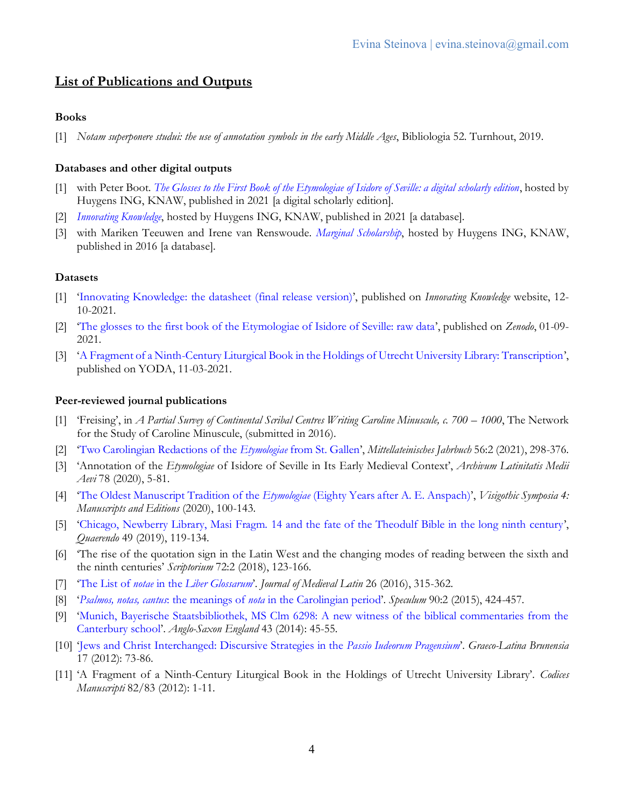## **List of Publications and Outputs**

## **Books**

[1] *Notam superponere studui: the use of annotation symbols in the early Middle Ages*, Bibliologia 52. Turnhout, 2019.

## **Databases and other digital outputs**

- [1] with Peter Boot. *[The Glosses to the First Book of the Etymologiae of Isidore of Seville: a digital scholarly edition](https://db.innovatingknowledge.nl/edition)*, hosted by Huygens ING, KNAW, published in 2021 [a digital scholarly edition].
- [2] *[Innovating Knowledge](https://innovatingknowledge.nl/)*, hosted by Huygens ING, KNAW, published in 2021 [a database].
- [3] with Mariken Teeuwen and Irene van Renswoude. *[Marginal Scholarship](https://www.marginalscholarship.nl/)*, hosted by Huygens ING, KNAW, published in 2016 [a database].

### **Datasets**

- [1] '[Innovating Knowledge: the datasheet \(final release](https://innovatingknowledge.nl/?page_id=104) version)', published on *Innovating Knowledge* website, 12- 10-2021.
- [2] '[The glosses to the first book of the Etymologiae of Isidore of Seville: raw data](https://zenodo.org/record/5359402)', published on *Zenodo*, 01-09- 2021.
- [3] '[A Fragment of a Ninth-Century Liturgical Book in the Holdings of Utrecht University Library: Transcription](https://public.yoda.uu.nl/its/UU01/DFKJ8M.html)', published on YODA, 11-03-2021.

### **Peer-reviewed journal publications**

- [1] 'Freising', in *A Partial Survey of Continental Scribal Centres Writing Caroline Minuscule, c. 700 1000*, The Network for the Study of Caroline Minuscule, (submitted in 2016).
- [2] '[Two Carolingian Redactions of the](https://doi.org/10.36191/mjb/2021-56-2-4) *Etymologiae* from St. Gallen', *Mittellateinisches Jahrbuch* 56:2 (2021), 298-376.
- [3] 'Annotation of the *Etymologiae* of Isidore of Seville in Its Early Medieval Context', *Archivum Latinitatis Medii Aevi* 78 (2020), 5-81.
- [4] '[The Oldest Manuscript Tradition of the](https://visigothicsymposia.org/evina-steinova/) *Etymologiae* (Eighty Years after A. E. Anspach)', *Visigothic Symposia 4: Manuscripts and Editions* (2020), 100-143.
- [5] '[Chicago, Newberry Library, Masi Fragm. 14 and the fate of the Theodulf Bible in the long ninth century](https://doi.org/10.1163/15700690-12341435)', *Quaerendo* 49 (2019), 119-134.
- [6] 'The rise of the quotation sign in the Latin West and the changing modes of reading between the sixth and the ninth centuries' *Scriptorium* 72:2 (2018), 123-166.
- [7] 'The List of *notae* in the *[Liber Glossarum](https://doi.org/10.1484/J.JML.5.112087)*'. *Journal of Medieval Latin* 26 (2016), 315-362.
- [8] '*Psalmos, notas, cantus*: the meanings of *nota* [in the Carolingian period](https://www.journals.uchicago.edu/doi/10.1017/S0038713415000275)'. *Speculum* 90:2 (2015), 424-457.
- [9] '[Munich, Bayerische Staatsbibliothek, MS Clm 6298: A new witness of the biblical commentaries from the](https://doi.org/10.1017/S0263675114000027)  [Canterbury school](https://doi.org/10.1017/S0263675114000027)'. *Anglo-Saxon England* 43 (2014): 45-55.
- [10] '[Jews and Christ Interchanged: Discursive Strategies in the](http://hdl.handle.net/11222.digilib/118210) *Passio Iudeorum Pragensium*'. *Graeco-Latina Brunensia*  17 (2012): 73-86.
- [11] 'A Fragment of a Ninth-Century Liturgical Book in the Holdings of Utrecht University Library'. *Codices Manuscripti* 82/83 (2012): 1-11.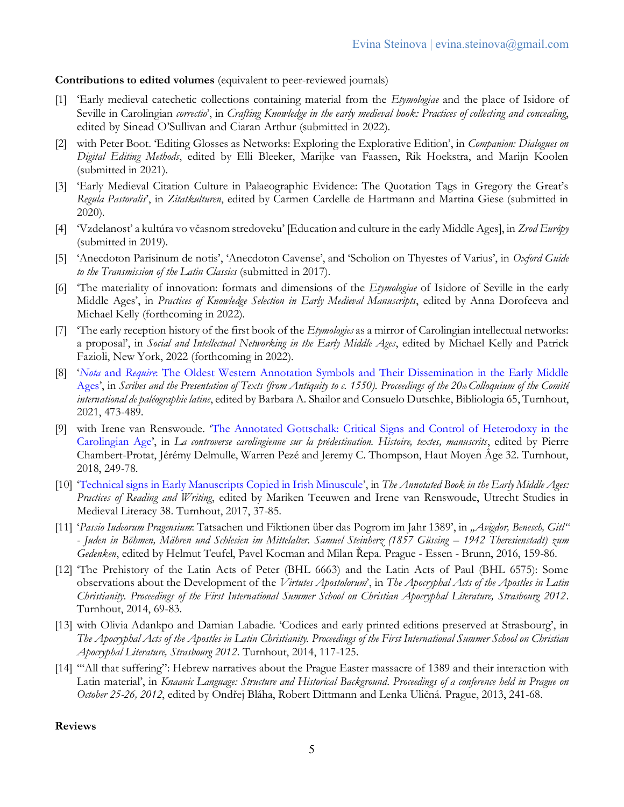## **Contributions to edited volumes** (equivalent to peer-reviewed journals)

- [1] 'Early medieval catechetic collections containing material from the *Etymologiae* and the place of Isidore of Seville in Carolingian *correctio*', in *Crafting Knowledge in the early medieval book: Practices of collecting and concealing*, edited by Sinead O'Sullivan and Ciaran Arthur (submitted in 2022).
- [2] with Peter Boot. 'Editing Glosses as Networks: Exploring the Explorative Edition', in *Companion: Dialogues on Digital Editing Methods*, edited by Elli Bleeker, Marijke van Faassen, Rik Hoekstra, and Marijn Koolen (submitted in 2021).
- [3] 'Early Medieval Citation Culture in Palaeographic Evidence: The Quotation Tags in Gregory the Great's *Regula Pastoralis*', in *Zitatkulturen*, edited by Carmen Cardelle de Hartmann and Martina Giese (submitted in 2020).
- [4] 'Vzdelanosť a kultúra vo včasnom stredoveku' [Education and culture in the early Middle Ages], in *Zrod Európy*  (submitted in 2019).
- [5] 'Anecdoton Parisinum de notis', 'Anecdoton Cavense', and 'Scholion on Thyestes of Varius', in *Oxford Guide to the Transmission of the Latin Classics* (submitted in 2017).
- [6] 'The materiality of innovation: formats and dimensions of the *Etymologiae* of Isidore of Seville in the early Middle Ages', in *Practices of Knowledge Selection in Early Medieval Manuscripts*, edited by Anna Dorofeeva and Michael Kelly (forthcoming in 2022).
- [7] 'The early reception history of the first book of the *Etymologies* as a mirror of Carolingian intellectual networks: a proposal', in *Social and Intellectual Networking in the Early Middle Ages*, edited by Michael Kelly and Patrick Fazioli, New York, 2022 (forthcoming in 2022).
- [8] '*Nota* and *Require*[: The Oldest Western Annotation Symbols and Their Dissemination in the Early Middle](https://doi.org/10.1484/M.BIB-EB.5.124987)  [Ages](https://doi.org/10.1484/M.BIB-EB.5.124987)', in *Scribes and the Presentation of Texts (from Antiquity to c. 1550). Proceedings of the 20th Colloquium of the Comité international de paléographie latine*, edited by Barbara A. Shailor and Consuelo Dutschke, Bibliologia 65, Turnhout, 2021, 473-489.
- [9] with Irene van Renswoude. '[The Annotated Gottschalk: Critical Signs and Control of Heterodoxy in the](https://doi.org/10.1484/M.HAMA-EB.5.114753)  [Carolingian Age](https://doi.org/10.1484/M.HAMA-EB.5.114753)', in *La controverse carolingienne sur la prédestination. Histoire, textes, manuscrits*, edited by Pierre Chambert-Protat, Jérémy Delmulle, Warren Pezé and Jeremy C. Thompson, Haut Moyen Âge 32. Turnhout, 2018, 249-78.
- [10] '[Technical signs in Early Manuscripts Copied in Irish Minuscule](https://doi.org/10.1484/M.USML-EB.5.115017)', in *The Annotated Book in the Early Middle Ages: Practices of Reading and Writing*, edited by Mariken Teeuwen and Irene van Renswoude, Utrecht Studies in Medieval Literacy 38. Turnhout, 2017, 37-85.
- [11] '*Passio Iudeorum Pragensium*: Tatsachen und Fiktionen über das Pogrom im Jahr 1389', in *"Avigdor, Benesch, Gitl" - Juden in Böhmen, Mähren und Schlesien im Mittelalter. Samuel Steinherz (1857 Güssing – 1942 Theresienstadt) zum Gedenken*, edited by Helmut Teufel, Pavel Kocman and Milan Řepa. Prague - Essen - Brunn, 2016, 159-86.
- [12] 'The Prehistory of the Latin Acts of Peter (BHL 6663) and the Latin Acts of Paul (BHL 6575): Some observations about the Development of the *Virtutes Apostolorum*', in *The Apocryphal Acts of the Apostles in Latin Christianity. Proceedings of the First International Summer School on Christian Apocryphal Literature, Strasbourg 2012*. Turnhout, 2014, 69-83.
- [13] with Olivia Adankpo and Damian Labadie. 'Codices and early printed editions preserved at Strasbourg', in *The Apocryphal Acts of the Apostles in Latin Christianity. Proceedings of the First International Summer School on Christian Apocryphal Literature, Strasbourg 2012*. Turnhout, 2014, 117-125.
- [14] '"All that suffering": Hebrew narratives about the Prague Easter massacre of 1389 and their interaction with Latin material', in *Knaanic Language: Structure and Historical Background*. *Proceedings of a conference held in Prague on October 25-26, 2012*, edited by Ondřej Bláha, Robert Dittmann and Lenka Uličná. Prague, 2013, 241-68.

### **Reviews**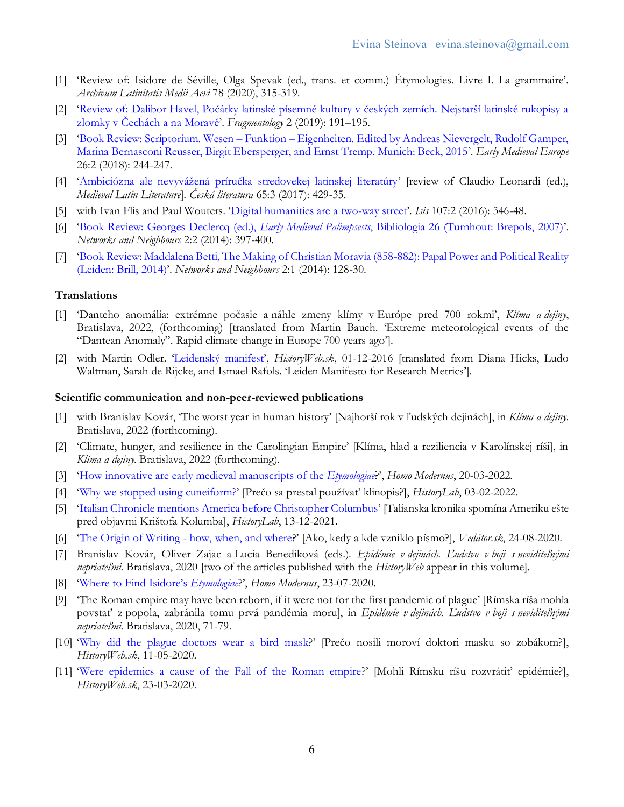- [1] 'Review of: Isidore de Séville, Olga Spevak (ed., trans. et comm.) Étymologies. Livre I. La grammaire'. *Archivum Latinitatis Medii Aevi* 78 (2020), 315-319.
- [2] ['Review of: Dalibor Havel, Počátky latinské písemné kultury v českých zemích. Nejstarší latinské rukopisy a](http://fragmentology.ms/issues/2-2019/havel/)  [zlomky v Čechách a na Moravě'](http://fragmentology.ms/issues/2-2019/havel/). *Fragmentology* 2 (2019): 191–195.
- [3] 'Book Review: Scriptorium. Wesen Funktion [Eigenheiten. Edited by Andreas Nievergelt, Rudolf Gamper,](https://doi.org/10.1111/emed.12272)  [Marina Bernasconi Reusser, Birgit Ebersperger, and Ernst Tremp. Munich: Beck, 2015](https://doi.org/10.1111/emed.12272)'. *Early Medieval Europe* 26:2 (2018): 244-247.
- [4] ['Ambiciózna ale nevyvážená príručka stredovekej latinskej literatúry'](http://www.ucl.cas.cz/cs/casopis-ceska-literatura/ceska-literatura-v-siti/2429-ambiciozna-ale-nevyvazena-prirucka-stredovekej-latinskej-literatury) [review of Claudio Leonardi (ed.), *Medieval Latin Literature*]. *Česká literatura* 65:3 (2017): 429-35.
- [5] with Ivan Flis and Paul Wouters. '[Digital humanities are a two-way street](http://www.journals.uchicago.edu/doi/full/10.1086/687221)'. *Isis* 107:2 (2016): 346-48.
- [6] 'Book Review: Georges Declercq (ed.), *Early Medieval Palimpsests*[, Bibliologia 26 \(Turnhout: Brepols, 2007\)](http://www.networksandneighbours.org/index.php/n/article/view/72/58)'. *Networks and Neighbours* 2:2 (2014): 397-400.
- [7] '[Book Review: Maddalena Betti, The Making of Christian Moravia \(858-882\): Papal Power and Political Reality](http://networksandneighbours.org/index.php/n/article/view/37)  [\(Leiden: Brill, 2014\)](http://networksandneighbours.org/index.php/n/article/view/37)'. *Networks and Neighbours* 2:1 (2014): 128-30.

#### **Translations**

- [1] 'Danteho anomália: extrémne počasie a náhle zmeny klímy v Európe pred 700 rokmi', *Klíma a dejiny*, Bratislava, 2022, (forthcoming) [translated from Martin Bauch. 'Extreme meteorological events of the "Dantean Anomaly". Rapid climate change in Europe 700 years ago'].
- [2] with Martin Odler. '[Leidenský manifest](http://historyweb.dennikn.sk/clanky/detail/leidensky-manifest)', *HistoryWeb.sk*, 01-12-2016 [translated from Diana Hicks, Ludo Waltman, Sarah de Rijcke, and Ismael Rafols. 'Leiden Manifesto for Research Metrics'].

#### **Scientific communication and non-peer-reviewed publications**

- [1] with Branislav Kovár, 'The worst year in human history' [Najhorší rok v ľudských dejinách], in *Klíma a dejiny*. Bratislava, 2022 (forthcoming).
- [2] 'Climate, hunger, and resilience in the Carolingian Empire' [Klíma, hlad a reziliencia v Karolínskej ríši], in *Klíma a dejiny*. Bratislava, 2022 (forthcoming).
- [3] '[How innovative are early medieval manuscripts of the](http://homomodernus.net/2022/03/20/how-innovative-are-early-medieval-manuscripts-of-the-etymologiae/) *Etymologiae*?', *Homo Modernus*, 20-03-2022.
- [4] '[Why we stopped using cuneiform?](https://historylab.sk/starovek/preco-sa-prestal-pouzivat-klinopis/)' [Prečo sa prestal používať klinopis?], *HistoryLab*, 03-02-2022.
- [5] '[Italian Chronicle mentions America before Christopher Columbus](https://historylab.sk/stredovek/talianska-kronika-spomina-ameriku-este-pred-objavmi-kristofa-kolumba/)' [Talianska kronika spomína Ameriku ešte pred objavmi Krištofa Kolumba], *HistoryLab*, 13-12-2021.
- [6] '[The Origin of Writing -](https://vedator.space/ako-kde-a-kedy-vzniklo-pismo/) how, when, and where?' [Ako, kedy a kde vzniklo písmo?], *Vedátor.sk*, 24-08-2020.
- [7] Branislav Kovár, Oliver Zajac a Lucia Benediková (eds.). *Epidémie v dejinách. Ľudstvo v boji s neviditeľnými nepriateľmi*. Bratislava, 2020 [two of the articles published with the *HistoryWeb* appear in this volume].
- [8] ['Where to Find Isidore's](https://homomodernus.net/2020/07/23/where-to-find-isidores-etymologiae/) *Etymologiae*?', *Homo Modernus*, 23-07-2020.
- [9] 'The Roman empire may have been reborn, if it were not for the first pandemic of plague' [Rímska ríša mohla povstať z popola, zabránila tomu prvá pandémia moru], in *Epidémie v dejinách. Ľudstvo v boji s neviditeľnými nepriateľmi*. Bratislava, 2020, 71-79.
- [10] '[Why did the plague doctors wear a bird mask](https://historyweb.dennikn.sk/clanky/detail/preco-nosili-morovi-doktori-masku-so-zobakom)?' [Prečo nosili moroví doktori masku so zobákom?], *HistoryWeb.sk*, 11-05-2020.
- [11] '[Were epidemics a cause of the Fall of the Roman empire](https://historyweb.dennikn.sk/clanky/detail/mohli-rimsku-risu-rozvratit-epidemie)?' [Mohli Rímsku ríšu rozvrátiť epidémie?], *HistoryWeb.sk*, 23-03-2020.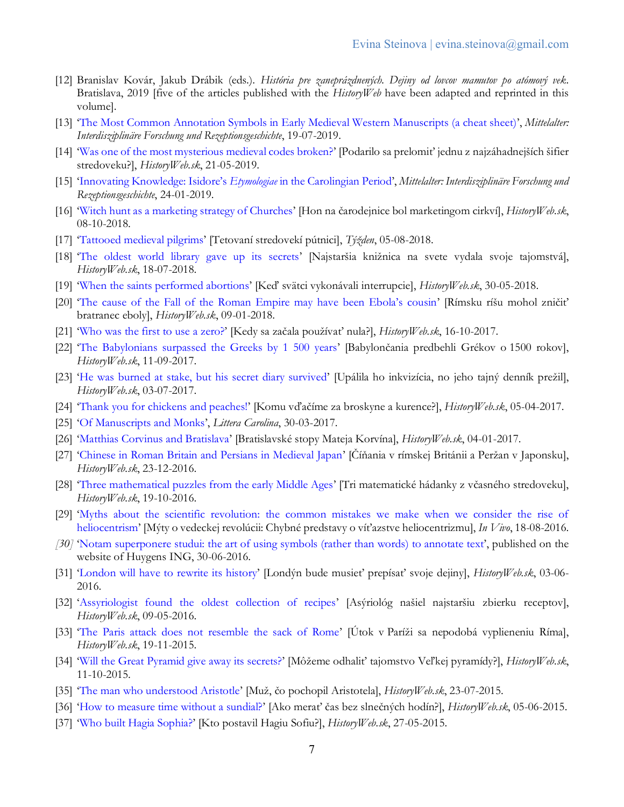- [12] Branislav Kovár, Jakub Drábik (eds.). *História pre zaneprázdnených. Dejiny od lovcov mamutov po atómový vek*. Bratislava, 2019 [five of the articles published with the *HistoryWeb* have been adapted and reprinted in this volume].
- [13] '[The Most Common Annotation Symbols in Early Medieval Western Manuscripts \(a cheat sheet\)](https://mittelalter.hypotheses.org/22292)', *Mittelalter: Interdisziplinäre Forschung und Rezeptionsgeschichte*, 19-07-2019.
- [14] '[Was one of the most mysterious medieval codes broken?](https://historyweb.dennikn.sk/clanky/detail/podarilo-sa-prelomit-jednu-z-najzahadnejsich-sifier-stredoveku)' [Podarilo sa prelomiť jednu z najzáhadnejších šifier stredoveku?], *HistoryWeb.sk*, 21-05-2019.
- [15] ['Innovating Knowledge: Isidore's](https://mittelalter.hypotheses.org/21234) *Etymologiae* in the Carolingian Period', *Mittelalter: Interdisziplinäre Forschung und Rezeptionsgeschichte*, 24-01-2019.
- [16] '[Witch hunt as a marketing strategy of Churches](http://historyweb.dennikn.sk/clanky/detail/hon-na-carodejnice-bol-marketingom-cirkvi#.W8M_rfZoQ2w)' [Hon na čarodejnice bol marketingom cirkví], *HistoryWeb.sk*, 08-10-2018.
- [17] '[Tattooed medieval pilgrims](https://www.tyzden.sk/temy/49712/tetovanie-zavazuje/)' [Tetovaní stredovekí pútnici], *Týžden*, 05-08-2018.
- [18] '[The oldest world library gave up its secrets](http://historyweb.dennikn.sk/clanky/detail/najstarsia-kniznica-na-svete-vydala-nove-tajomstva)' [Najstaršia knižnica na svete vydala svoje tajomstvá], *HistoryWeb.sk*, 18-07-2018.
- [19] '[When the saints performed abortions](http://historyweb.dennikn.sk/clanky/detail/ked-svatci-vykonavali-interrupcie)' [Keď svätci vykonávali interrupcie], *HistoryWeb.sk*, 30-05-2018.
- [20] ['The cause of the Fall of the Roman Empire may have been Ebola's cousin'](http://historyweb.dennikn.sk/clanky/detail/rimsku-risu-mohol-znicit-bratranec-eboly) [Rímsku ríšu mohol zničiť bratranec eboly], *HistoryWeb.sk*, 09-01-2018.
- [21] '[Who was the first to use a](http://historyweb.dennikn.sk/clanky/detail/kedy-sa-zacala-pouzivat-nula#.WfYdvYhrw2w) zero?' [Kedy sa začala používať nula?], *HistoryWeb.sk*, 16-10-2017.
- [22] '[The Babylonians surpassed the Greeks by 1 500 years](http://historyweb.dennikn.sk/clanky/detail/babyloncania-predbehli-grekov-o-1500-rokov#.WfYc4Ihrw2w)' [Babylončania predbehli Grékov o 1500 rokov], *HistoryWeb.sk*, 11-09-2017.
- [23] '[He was burned at stake, but his secret diary survived](http://historyweb.dennikn.sk/clanky/detail/upalila-ho-inkvizicia-no-jeho-tajny-dennik-prezil#.WVrxJelLc2x)' [Upálila ho inkvizícia, no jeho tajný denník prežil], *HistoryWeb.sk*, 03-07-2017.
- [24] '[Thank you for chickens and peaches!](http://historyweb.dennikn.sk/clanky/detail/komu-vdacime-za-broskyne-a-kurence#.WVrwkulLc2z)' [Komu vďačíme za broskyne a kurence?], *HistoryWeb.sk*, 05-04-2017.
- [25] '[Of Manuscripts and Monks](http://litteracarolina.upenndigitalscholarship.org/caroline-minuscule/of-manuscripts-and-monks/)', *Littera Carolina*, 30-03-2017.
- [26] '[Matthias Corvinus and Bratislava](http://historyweb.dennikn.sk/clanky/detail/bratislavske-stopy-mateja-korvina#.WG0-ilwkw2z)' [Bratislavské stopy Mateja Korvína], *HistoryWeb.sk*, 04-01-2017.
- [27] '[Chinese in Roman Britain and Persians in Medieval Japan](http://historyweb.dennikn.sk/clanky/detail/cinania-v-rimskej-britanii-a-perzan-v-japonsku#.WGvwIFwkw2x)' [Číňania v rímskej Británii a Peržan v Japonsku], *HistoryWeb.sk*, 23-12-2016.
- [28] '[Three mathematical puzzles from the early Middle Ages](http://historyweb.dennikn.sk/clanky/detail/tri-matematicke-hadanky-z-vcasneho-stredoveku#.WDaSiFwkw2w)' [Tri matematické hádanky z včasného stredoveku], *HistoryWeb.sk*, 19-10-2016.
- [29] '[Myths about the scientific revolution: the common mistakes we make when we consider the rise of](http://invivomagazin.sk/myty-o-vedeckej-revolucii-chybne-predstavy-o-vitazstve-heliocentrizmu_481.html)  [heliocentrism](http://invivomagazin.sk/myty-o-vedeckej-revolucii-chybne-predstavy-o-vitazstve-heliocentrizmu_481.html)' [Mýty o vedeckej revolúcii: Chybné predstavy o víťazstve heliocentrizmu], *In Vivo*, 18-08-2016.
- *[30]* '[Notam superponere studui: the art of using symbols \(rather than words\) to annotate text](https://www.huygens.knaw.nl/publications/marginal-scholarship-annoteren-met-behulp-van-tekens-in-plaats-van-woorden/?lang=en)', published on the website of Huygens ING, 30-06-2016.
- [31] '[London will have to rewrite its history](http://historyweb.dennikn.sk/clanky/detail/londyn-bude-musiet-prepisat-svoje-dejiny#.WDaSHVwkw2w)' [Londýn bude musieť prepísať svoje dejiny], *HistoryWeb.sk*, 03-06- 2016.
- [32] '[Assyriologist found the oldest collection of recipes](http://historyweb.dennikn.sk/clanky/detail/asyriolog-nasiel-najstarsiu-zbierku-receptov#.WDaRalwkw2w)' [Asýriológ našiel najstaršiu zbierku receptov], *HistoryWeb.sk*, 09-05-2016.
- [33] '[The Paris attack does not resemble the sack of Rome](http://historyweb.dennikn.sk/clanky/detail/utok-v-parizi-sa-nepodoba-vyplieneniu-rima#.WDaQ0Vwkw2x)' [Útok v Paríži sa nepodobá vyplieneniu Ríma], *HistoryWeb.sk*, 19-11-2015.
- [34] '[Will the Great Pyramid give away its secrets?](http://historyweb.dennikn.sk/clanky/detail/mozeme-odhalit-tajomstvo-velkej-pyramidy#.WDaQBlwkw2w)' [Môžeme odhaliť tajomstvo Veľkej pyramídy?], *HistoryWeb.sk*, 11-10-2015.
- [35] '[The man who understood Aristotle](http://historyweb.dennikn.sk/clanky/detail/muz-co-pochopil-aristotela#.WDaOvFwkw2w)' [Muž, čo pochopil Aristotela], *HistoryWeb.sk*, 23-07-2015.
- [36] '[How to measure time without a sundial?](http://historyweb.dennikn.sk/clanky/detail/ako-merat-cas-bez-slnecnych-hodin#.WDaON1wkw2w)' [Ako merať čas bez slnečných hodín?], *HistoryWeb.sk*, 05-06-2015.
- [37] '[Who built Hagia Sophia?](http://historyweb.dennikn.sk/clanky/detail/kto-postavil-hagiu-sofiu#.WDaNUlwkw2w)' [Kto postavil Hagiu Sofiu?], *HistoryWeb.sk*, 27-05-2015.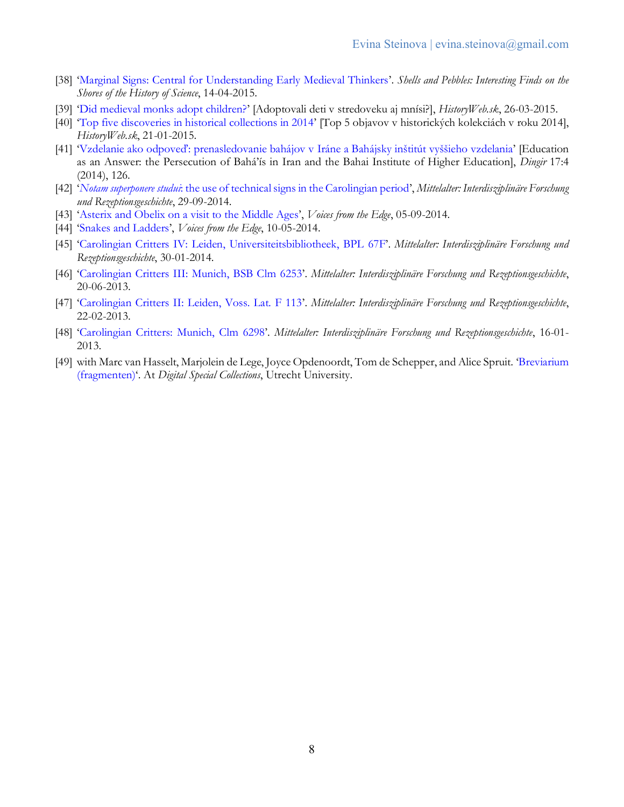- [38] '[Marginal Signs: Central for Understanding Early Medieval Thinkers](http://www.shellsandpebbles.com/2015/04/14/marginal-signs-central-for-understanding-early-medieval-thinkers/)'. *Shells and Pebbles: Interesting Finds on the Shores of the History of Science*, 14-04-2015.
- [39] '[Did medieval monks adopt children?](http://historyweb.dennikn.sk/clanky/detail/adoptovali-deti-v-stredoveku-aj-mnisi#.WDaPSFwkw2w)' [Adoptovali deti v stredoveku aj mnísi?], *HistoryWeb.sk*, 26-03-2015.
- [40] '[Top five discoveries in historical collections in 2014](http://historyweb.dennikn.sk/clanky/detail/top-5-objavov-historie-v-roku-2014#.WDaMSVwkw2w)' [Top 5 objavov v historických kolekciách v roku 2014], *HistoryWeb.sk*, 21-01-2015.
- [41] ['Vzdelanie ako odpoveď: prenasledovanie bahájov v](http://dingir.cz/cislo/14/4/vzdelanie_ako_odpoved.pdf) Iráne a Bahájsky inštitút vyššieho vzdelania' [Education as an Answer: the Persecution of Bahá'ís in Iran and the Bahai Institute of Higher Education], *Dingir* 17:4 (2014), 126.
- [42] '*Notam superponere studui*[: the use of technical signs in the Carolingian period](http://mittelalter.hypotheses.org/4399)', *Mittelalter: Interdisziplinäre Forschung und Rezeptionsgeschichte*, 29-09-2014.
- [43] '[Asterix and Obelix on a visit to the Middle Ages](http://voicesfromtheedge.huygens.knaw.nl/?p=128)', *Voices from the Edge*, 05-09-2014.
- [44] '[Snakes and Ladders](http://voicesfromtheedge.huygens.knaw.nl/?p=64)', *Voices from the Edge*, 10-05-2014.
- [45] '[Carolingian Critters IV: Leiden, Universiteitsbibliotheek, BPL 67F](http://mittelalter.hypotheses.org/2929)'. *Mittelalter: Interdisziplinäre Forschung und Rezeptionsgeschichte*, 30-01-2014.
- [46] '[Carolingian Critters III: Munich, BSB Clm 6253](http://mittelalter.hypotheses.org/1316)'. *Mittelalter: Interdisziplinäre Forschung und Rezeptionsgeschichte*, 20-06-2013.
- [47] '[Carolingian Critters II: Leiden, Voss. Lat. F 113](http://mittelalter.hypotheses.org/556)'. *Mittelalter: Interdisziplinäre Forschung und Rezeptionsgeschichte*, 22-02-2013.
- [48] '[Carolingian Critters: Munich, Clm 6298](http://mittelalter.hypotheses.org/238)'. *Mittelalter: Interdisziplinäre Forschung und Rezeptionsgeschichte*, 16-01- 2013.
- [49] with Marc van Hasselt, Marjolein de Lege, Joyce Opdenoordt, Tom de Schepper, and Alice Spruit. '[Breviarium](http://digbijzcoll.library.uu.nl/metadata.php?lang=en&W=On&BoekID=015741&style=fmw)  [\(fragmenten\)](http://digbijzcoll.library.uu.nl/metadata.php?lang=en&W=On&BoekID=015741&style=fmw)'. At *Digital Special Collections*, Utrecht University.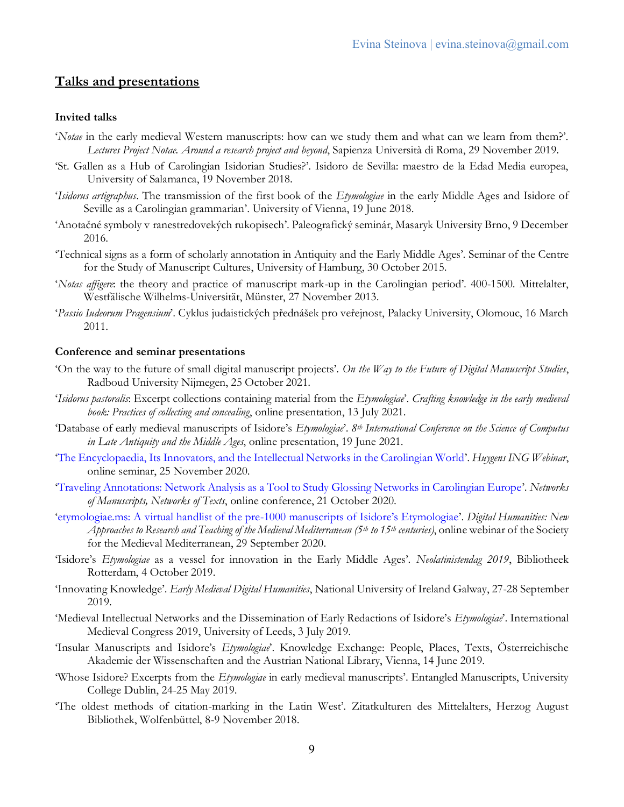## **Talks and presentations**

#### **Invited talks**

- '*Notae* in the early medieval Western manuscripts: how can we study them and what can we learn from them?'. *Lectures Project Notae. Around a research project and beyond*, Sapienza Università di Roma, 29 November 2019.
- 'St. Gallen as a Hub of Carolingian Isidorian Studies?'. Isidoro de Sevilla: maestro de la Edad Media europea, University of Salamanca, 19 November 2018.
- '*Isidorus artigraphus*. The transmission of the first book of the *Etymologiae* in the early Middle Ages and Isidore of Seville as a Carolingian grammarian'. University of Vienna, 19 June 2018.
- 'Anotačné symboly v ranestredovekých rukopisech'. Paleografický seminár, Masaryk University Brno, 9 December 2016.
- 'Technical signs as a form of scholarly annotation in Antiquity and the Early Middle Ages'. Seminar of the Centre for the Study of Manuscript Cultures, University of Hamburg, 30 October 2015.
- '*Notas affigere*: the theory and practice of manuscript mark-up in the Carolingian period'. 400-1500. Mittelalter, Westfälische Wilhelms-Universität, Münster, 27 November 2013.
- '*Passio Iudeorum Pragensium*'. Cyklus judaistických přednášek pro veřejnost, Palacky University, Olomouc, 16 March 2011.

#### **Conference and seminar presentations**

- 'On the way to the future of small digital manuscript projects'. *On the Way to the Future of Digital Manuscript Studies*, Radboud University Nijmegen, 25 October 2021.
- '*Isidorus pastoralis*: Excerpt collections containing material from the *Etymologiae*'. *Crafting knowledge in the early medieval book: Practices of collecting and concealing*, online presentation, 13 July 2021.
- 'Database of early medieval manuscripts of Isidore's *Etymologiae*'. *8th International Conference on the Science of Computus in Late Antiquity and the Middle Ages*, online presentation, 19 June 2021.
- '[The Encyclopaedia, Its Innovators, and the Intellectual Networks in the Carolingian World](https://zenodo.org/record/4430506)'. *Huygens ING Webinar*, online seminar, 25 November 2020.
- '[Traveling Annotations: Network Analysis as a Tool to Study Glossing Networks in Carolingian Europe](https://youtu.be/3aX5BlHmlZE)'. *Networks of Manuscripts, Networks of Texts*, online conference, 21 October 2020.
- '[etymologiae.ms: A virtual handlist of the pre-](https://www.youtube.com/watch?v=w7clBLnadXQ)1000 manuscripts of Isidore's Etymologiae'. *Digital Humanities: New Approaches to Research and Teaching of the Medieval Mediterranean (5th to 15th centuries)*, online webinar of the Society for the Medieval Mediterranean, 29 September 2020.
- 'Isidore's *Etymologiae* as a vessel for innovation in the Early Middle Ages'. *Neolatinistendag 2019*, Bibliotheek Rotterdam, 4 October 2019.
- 'Innovating Knowledge'. *Early Medieval Digital Humanities*, National University of Ireland Galway, 27-28 September 2019.
- 'Medieval Intellectual Networks and the Dissemination of Early Redactions of Isidore's *Etymologiae*'. International Medieval Congress 2019, University of Leeds, 3 July 2019.
- 'Insular Manuscripts and Isidore's *Etymologiae*'. Knowledge Exchange: People, Places, Texts, Österreichische Akademie der Wissenschaften and the Austrian National Library, Vienna, 14 June 2019.
- 'Whose Isidore? Excerpts from the *Etymologiae* in early medieval manuscripts'. Entangled Manuscripts, University College Dublin, 24-25 May 2019.
- 'The oldest methods of citation-marking in the Latin West'. Zitatkulturen des Mittelalters, Herzog August Bibliothek, Wolfenbüttel, 8-9 November 2018.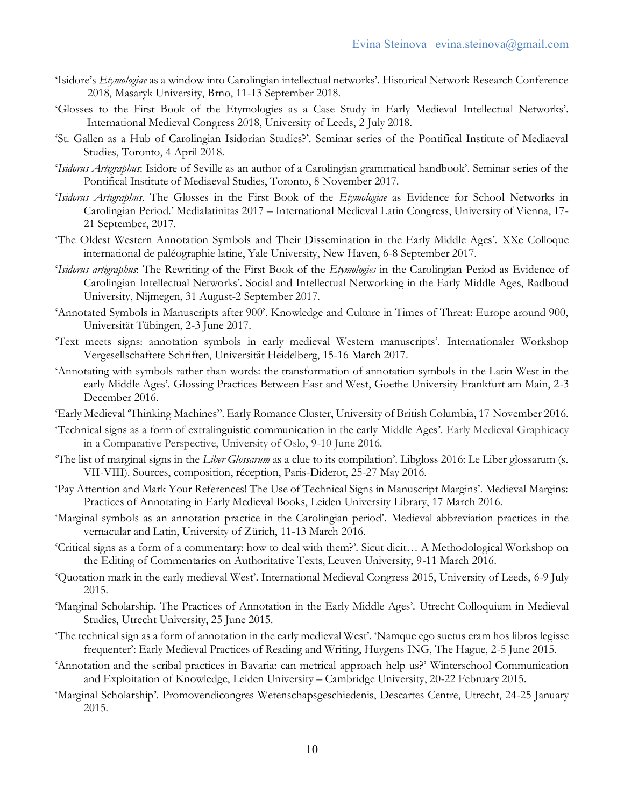- 'Isidore's *Etymologiae* as a window into Carolingian intellectual networks'. Historical Network Research Conference 2018, Masaryk University, Brno, 11-13 September 2018.
- 'Glosses to the First Book of the Etymologies as a Case Study in Early Medieval Intellectual Networks'. International Medieval Congress 2018, University of Leeds, 2 July 2018.
- 'St. Gallen as a Hub of Carolingian Isidorian Studies?'. Seminar series of the Pontifical Institute of Mediaeval Studies, Toronto, 4 April 2018.
- '*Isidorus Artigraphus*: Isidore of Seville as an author of a Carolingian grammatical handbook'. Seminar series of the Pontifical Institute of Mediaeval Studies, Toronto, 8 November 2017.
- '*Isidorus Artigraphus*. The Glosses in the First Book of the *Etymologiae* as Evidence for School Networks in Carolingian Period.' Medialatinitas 2017 – International Medieval Latin Congress, University of Vienna, 17- 21 September, 2017.
- 'The Oldest Western Annotation Symbols and Their Dissemination in the Early Middle Ages'. XXe Colloque international de paléographie latine, Yale University, New Haven, 6-8 September 2017.
- '*Isidorus artigraphus*: The Rewriting of the First Book of the *Etymologies* in the Carolingian Period as Evidence of Carolingian Intellectual Networks'. Social and Intellectual Networking in the Early Middle Ages, Radboud University, Nijmegen, 31 August-2 September 2017.
- 'Annotated Symbols in Manuscripts after 900'. Knowledge and Culture in Times of Threat: Europe around 900, Universität Tübingen, 2-3 June 2017.
- 'Text meets signs: annotation symbols in early medieval Western manuscripts'. Internationaler Workshop Vergesellschaftete Schriften, Universität Heidelberg, 15-16 March 2017.
- 'Annotating with symbols rather than words: the transformation of annotation symbols in the Latin West in the early Middle Ages'. Glossing Practices Between East and West, Goethe University Frankfurt am Main, 2-3 December 2016.
- 'Early Medieval 'Thinking Machines''. Early Romance Cluster, University of British Columbia, 17 November 2016.
- 'Technical signs as a form of extralinguistic communication in the early Middle Ages'. Early Medieval Graphicacy in a Comparative Perspective, University of Oslo, 9-10 June 2016.
- 'The list of marginal signs in the *Liber Glossarum* as a clue to its compilation'. Libgloss 2016: Le Liber glossarum (s. VII-VIII). Sources, composition, réception, Paris-Diderot, 25-27 May 2016.
- 'Pay Attention and Mark Your References! The Use of Technical Signs in Manuscript Margins'. Medieval Margins: Practices of Annotating in Early Medieval Books, Leiden University Library, 17 March 2016.
- 'Marginal symbols as an annotation practice in the Carolingian period'. Medieval abbreviation practices in the vernacular and Latin, University of Zürich, 11-13 March 2016.
- 'Critical signs as a form of a commentary: how to deal with them?'. Sicut dicit… A Methodological Workshop on the Editing of Commentaries on Authoritative Texts, Leuven University, 9-11 March 2016.
- 'Quotation mark in the early medieval West'. International Medieval Congress 2015, University of Leeds, 6-9 July 2015.
- 'Marginal Scholarship. The Practices of Annotation in the Early Middle Ages'. Utrecht Colloquium in Medieval Studies, Utrecht University, 25 June 2015.
- 'The technical sign as a form of annotation in the early medieval West'. 'Namque ego suetus eram hos libros legisse frequenter': Early Medieval Practices of Reading and Writing, Huygens ING, The Hague, 2-5 June 2015.
- 'Annotation and the scribal practices in Bavaria: can metrical approach help us?' Winterschool Communication and Exploitation of Knowledge, Leiden University – Cambridge University, 20-22 February 2015.
- 'Marginal Scholarship'. Promovendicongres Wetenschapsgeschiedenis, Descartes Centre, Utrecht, 24-25 January 2015.